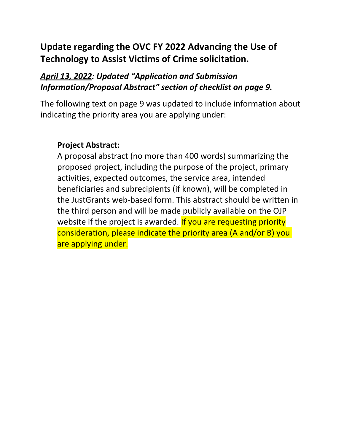# **Update regarding the OVC FY 2022 Advancing the Use of Technology to Assist Victims of Crime solicitation.**

## *April 13, 2022: Updated "Application and Submission Information/Proposal Abstract" section of checklist on page 9.*

The following text on page 9 was updated to include information about indicating the priority area you are applying under:

## **Project Abstract:**

A proposal abstract (no more than 400 words) summarizing the proposed project, including the purpose of the project, primary activities, expected outcomes, the service area, intended beneficiaries and subrecipients (if known), will be completed in the JustGrants web-based form. This abstract should be written in the third person and will be made publicly available on the OJP website if the project is awarded. If you are requesting priority consideration, please indicate the priority area (A and/or B) you are applying under.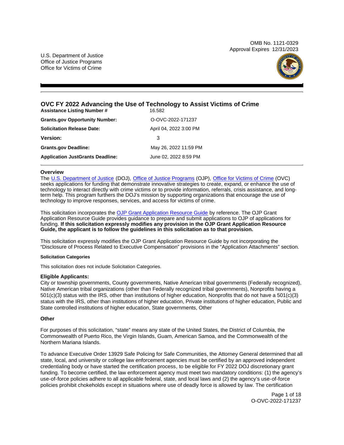OMB No. 1121-0329 Approval Expires 12/31/2023

U.S. Department of Justice Office of Justice Programs Office for Victims of Crime



## **OVC FY 2022 Advancing the Use of Technology to Assist Victims of Crime**

| <b>Assistance Listing Number #</b>      | 16.582                 |
|-----------------------------------------|------------------------|
| <b>Grants.gov Opportunity Number:</b>   | O-OVC-2022-171237      |
| <b>Solicitation Release Date:</b>       | April 04, 2022 3:00 PM |
| <b>Version:</b>                         | 3                      |
| <b>Grants.gov Deadline:</b>             | May 26, 2022 11:59 PM  |
| <b>Application JustGrants Deadline:</b> | June 02, 2022 8:59 PM  |

## **Overview**

The [U.S. Department of Justice](https://www.usdoj.gov/) (DOJ), [Office of Justice Programs](https://www.ojp.usdoj.gov/) (OJP), [Office for Victims of Crime](https://ovc.ojp.gov/) (OVC) seeks applications for funding that demonstrate innovative strategies to create, expand, or enhance the use of technology to interact directly with crime victims or to provide information, referrals, crisis assistance, and longterm help. This program furthers the DOJ's mission by supporting organizations that encourage the use of technology to improve responses, services, and access for victims of crime.

This solicitation incorporates the [OJP Grant Application Resource Guide](https://www.ojp.gov/funding/Apply/Resources/Grant-App-Resource-Guide.htm) by reference. The OJP Grant Application Resource Guide provides guidance to prepare and submit applications to OJP of applications for funding. **If this solicitation expressly modifies any provision in the OJP Grant Application Resource Guide, the applicant is to follow the guidelines in this solicitation as to that provision.** 

This solicitation expressly modifies the OJP Grant Application Resource Guide by not incorporating the "Disclosure of Process Related to Executive Compensation" provisions in the "Application Attachments" section.

#### **Solicitation Categories**

This solicitation does not include Solicitation Categories.

#### **Eligible Applicants:**

City or township governments, County governments, Native American tribal governments (Federally recognized), Native American tribal organizations (other than Federally recognized tribal governments), Nonprofits having a 501(c)(3) status with the IRS, other than institutions of higher education, Nonprofits that do not have a 501(c)(3) status with the IRS, other than institutions of higher education, Private institutions of higher education, Public and State controlled institutions of higher education, State governments, Other

#### **Other**

For purposes of this solicitation, "state" means any state of the United States, the District of Columbia, the Commonwealth of Puerto Rico, the Virgin Islands, Guam, American Samoa, and the Commonwealth of the Northern Mariana Islands.

To advance Executive Order 13929 Safe Policing for Safe Communities, the Attorney General determined that all state, local, and university or college law enforcement agencies must be certified by an approved independent credentialing body or have started the certification process, to be eligible for FY 2022 DOJ discretionary grant funding. To become certified, the law enforcement agency must meet two mandatory conditions: (1) the agency's use-of-force policies adhere to all applicable federal, state, and local laws and (2) the agency's use-of-force policies prohibit chokeholds except in situations where use of deadly force is allowed by law. The certification

> Page 1 of 18 O-OVC-2022-171237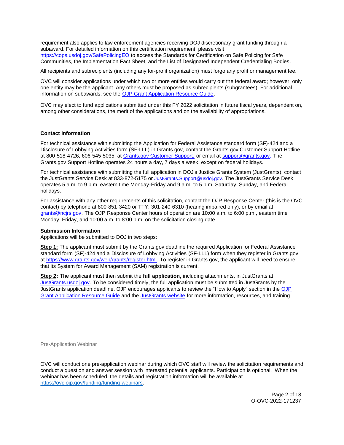<span id="page-2-0"></span>requirement also applies to law enforcement agencies receiving DOJ discretionary grant funding through a subaward. For detailed information on this certification requirement, please visit [https://cops.usdoj.gov/SafePolicingEO](https://cops.usdoj.gov/SafePolicingEO%20) to access the Standards for Certification on Safe Policing for Safe Communities, the Implementation Fact Sheet, and the List of Designated Independent Credentialing Bodies.

All recipients and subrecipients (including any for-profit organization) must forgo any profit or management fee.

OVC will consider applications under which two or more entities would carry out the federal award; however, only one entity may be the applicant. Any others must be proposed as subrecipients (subgrantees). For additional information on subawards, see the [OJP Grant Application Resource Guide.](https://www.ojp.gov/funding/Apply/Resources/Grant-App-Resource-Guide.htm)

OVC may elect to fund applications submitted under this FY 2022 solicitation in future fiscal years, dependent on, among other considerations, the merit of the applications and on the availability of appropriations.

## **Contact Information**

For technical assistance with submitting the Application for Federal Assistance standard form (SF)-424 and a Disclosure of Lobbying Activities form (SF-LLL) in [Grants.gov](https://Grants.gov), contact the [Grants.gov](https://Grants.gov) Customer Support Hotline at 800-518-4726, 606-545-5035, at [Grants.gov Customer Support,](https://www.grants.gov/web/grants/support.html) or email at [support@grants.gov.](mailto:support@grants.gov) The [Grants.gov](https://Grants.gov) Support Hotline operates 24 hours a day, 7 days a week, except on federal holidays.

For technical assistance with submitting the full application in DOJ's Justice Grants System (JustGrants), contact the JustGrants Service Desk at 833-872-5175 or [JustGrants.Support@usdoj.gov.](mailto:JustGrants.Support@usdoj.gov) The JustGrants Service Desk operates 5 a.m. to 9 p.m. eastern time Monday-Friday and 9 a.m. to 5 p.m. Saturday, Sunday, and Federal holidays.

For assistance with any other requirements of this solicitation, contact the OJP Response Center (this is the OVC contact) by telephone at 800-851-3420 or TTY: 301-240-6310 (hearing impaired only), or by email at [grants@ncjrs.gov.](mailto:grants@ncjrs.gov) The OJP Response Center hours of operation are 10:00 a.m. to 6:00 p.m., eastern time Monday–Friday, and 10:00 a.m. to 8:00 p.m. on the solicitation closing date.

#### **Submission Information**

Applications will be submitted to DOJ in two steps:

**Step 1:** The applicant must submit by the [Grants.gov](https://Grants.gov) deadline the required Application for Federal Assistance standard form (SF)-424 and a Disclosure of Lobbying Activities (SF-LLL) form when they register in [Grants.gov](https://Grants.gov) at [https://www.grants.gov/web/grants/register.html.](https://www.grants.gov/web/grants/register.html) To register in [Grants.gov](https://Grants.gov), the applicant will need to ensure that its System for Award Management (SAM) registration is current.

**Step 2:** The applicant must then submit the **full application,** including attachments, in JustGrants at [JustGrants.usdoj.gov.](https://justicegrants.usdoj.gov/) To be considered timely, the full application must be submitted in JustGrants by the JustGrants application deadline. OJP encourages applicants to review the "How to Apply" section in the [OJP](https://www.ojp.gov/funding/apply/ojp-grant-application-resource-guide#apply)  [Grant Application Resource Guide](https://www.ojp.gov/funding/apply/ojp-grant-application-resource-guide#apply) and the [JustGrants website](https://justicegrants.usdoj.gov/news) for more information, resources, and training.

Pre-Application Webinar

OVC will conduct one pre-application webinar during which OVC staff will review the solicitation requirements and conduct a question and answer session with interested potential applicants. Participation is optional. When the webinar has been scheduled, the details and registration information will be available at [https://ovc.ojp.gov/funding/funding-webinars.](https://ovc.ojp.gov/funding/funding-webinars)

> Page 2 of 18 O-OVC-2022-171237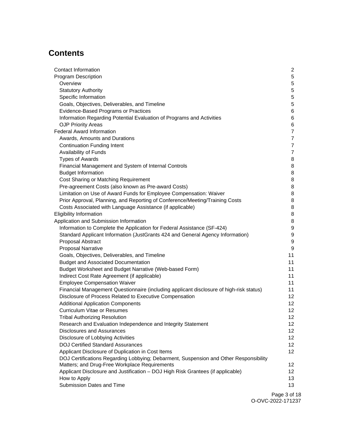## **Contents**

| Contact Information                                                                     | $\mathbf{2}$     |
|-----------------------------------------------------------------------------------------|------------------|
| Program Description                                                                     | 5                |
| Overview                                                                                | 5                |
| <b>Statutory Authority</b>                                                              | 5                |
| Specific Information                                                                    | 5                |
| Goals, Objectives, Deliverables, and Timeline                                           | 5                |
| Evidence-Based Programs or Practices                                                    | 6                |
| Information Regarding Potential Evaluation of Programs and Activities                   | 6                |
| <b>OJP Priority Areas</b>                                                               | 6                |
| <b>Federal Award Information</b>                                                        | $\overline{7}$   |
| Awards, Amounts and Durations                                                           | $\overline{7}$   |
| <b>Continuation Funding Intent</b>                                                      | $\overline{7}$   |
| Availability of Funds                                                                   | $\overline{7}$   |
| <b>Types of Awards</b>                                                                  | 8                |
| Financial Management and System of Internal Controls                                    | 8                |
| <b>Budget Information</b>                                                               | 8                |
| Cost Sharing or Matching Requirement                                                    | 8                |
| Pre-agreement Costs (also known as Pre-award Costs)                                     | 8                |
| Limitation on Use of Award Funds for Employee Compensation: Waiver                      | 8                |
| Prior Approval, Planning, and Reporting of Conference/Meeting/Training Costs            | 8                |
| Costs Associated with Language Assistance (if applicable)                               | 8                |
| <b>Eligibility Information</b>                                                          | 8                |
| Application and Submission Information                                                  | 8                |
| Information to Complete the Application for Federal Assistance (SF-424)                 | 9                |
| Standard Applicant Information (JustGrants 424 and General Agency Information)          | 9                |
| Proposal Abstract                                                                       | $\boldsymbol{9}$ |
| <b>Proposal Narrative</b>                                                               | $\boldsymbol{9}$ |
| Goals, Objectives, Deliverables, and Timeline                                           | 11               |
| <b>Budget and Associated Documentation</b>                                              | 11               |
| Budget Worksheet and Budget Narrative (Web-based Form)                                  | 11               |
| Indirect Cost Rate Agreement (if applicable)                                            | 11               |
| <b>Employee Compensation Waiver</b>                                                     | 11               |
| Financial Management Questionnaire (including applicant disclosure of high-risk status) | 11               |
| Disclosure of Process Related to Executive Compensation                                 | 12 <sup>°</sup>  |
| <b>Additional Application Components</b>                                                | 12 <sub>2</sub>  |
| <b>Curriculum Vitae or Resumes</b>                                                      | 12               |
| <b>Tribal Authorizing Resolution</b>                                                    | 12               |
| Research and Evaluation Independence and Integrity Statement                            | 12               |
| <b>Disclosures and Assurances</b>                                                       | 12 <sub>2</sub>  |
| Disclosure of Lobbying Activities                                                       | 12 <sub>2</sub>  |
| <b>DOJ Certified Standard Assurances</b>                                                | 12 <sup>2</sup>  |
| Applicant Disclosure of Duplication in Cost Items                                       | 12 <sup>2</sup>  |
| DOJ Certifications Regarding Lobbying; Debarment, Suspension and Other Responsibility   |                  |
| Matters; and Drug-Free Workplace Requirements                                           | 12               |
| Applicant Disclosure and Justification - DOJ High Risk Grantees (if applicable)         | 12               |
| How to Apply                                                                            | 13               |
| Submission Dates and Time                                                               | 13               |
|                                                                                         |                  |

Page 3 of 18 O-OVC-2022-171237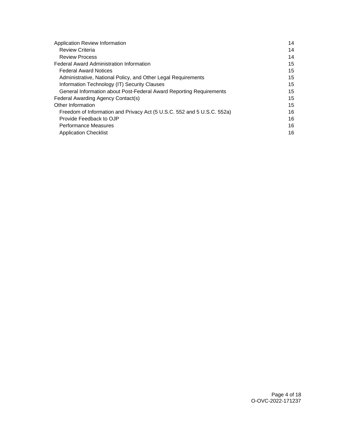| Application Review Information                                          | 14 |
|-------------------------------------------------------------------------|----|
| <b>Review Criteria</b>                                                  | 14 |
| <b>Review Process</b>                                                   | 14 |
| <b>Federal Award Administration Information</b>                         | 15 |
| <b>Federal Award Notices</b>                                            | 15 |
| Administrative, National Policy, and Other Legal Requirements           | 15 |
| Information Technology (IT) Security Clauses                            | 15 |
| General Information about Post-Federal Award Reporting Requirements     | 15 |
| Federal Awarding Agency Contact(s)                                      | 15 |
| Other Information                                                       | 15 |
| Freedom of Information and Privacy Act (5 U.S.C. 552 and 5 U.S.C. 552a) | 16 |
| Provide Feedback to OJP                                                 | 16 |
| <b>Performance Measures</b>                                             | 16 |
| <b>Application Checklist</b>                                            | 16 |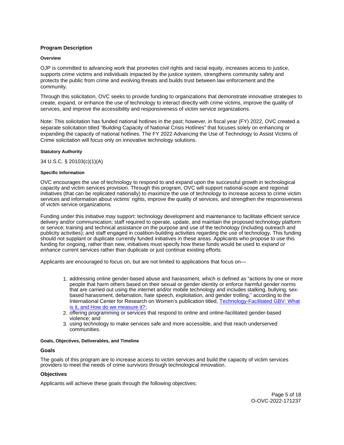## <span id="page-5-0"></span>**Program Description**

#### **Overview**

OJP is committed to advancing work that promotes civil rights and racial equity, increases access to justice, supports crime victims and individuals impacted by the justice system, strengthens community safety and protects the public from crime and evolving threats and builds trust between law enforcement and the community.

Through this solicitation, OVC seeks to provide funding to organizations that demonstrate innovative strategies to create, expand, or enhance the use of technology to interact directly with crime victims, improve the quality of services, and improve the accessibility and responsiveness of victim service organizations.

Note: This solicitation has funded national hotlines in the past; however, in fiscal year (FY) 2022, OVC created a separate solicitation titled "Building Capacity of National Crisis Hotlines" that focuses solely on enhancing or expanding the capacity of national hotlines. The FY 2022 Advancing the Use of Technology to Assist Victims of Crime solicitation will focus only on innovative technology solutions.

## **Statutory Authority**

34 U.S.C. § 20103(c)(1)(A)

#### **Specific Information**

OVC encourages the use of technology to respond to and expand upon the successful growth in technological capacity and victim services provision. Through this program, OVC will support national-scope and regional initiatives (that can be replicated nationally) to maximize the use of technology to increase access to crime victim services and information about victims' rights, improve the quality of services, and strengthen the responsiveness of victim service organizations.

Funding under this initiative may support: technology development and maintenance to facilitate efficient service delivery and/or communication; staff required to operate, update, and maintain the proposed technology platform or service; training and technical assistance on the purpose and use of the technology (including outreach and publicity activities); and staff engaged in coalition-building activities regarding the use of technology. This funding should not supplant or duplicate currently funded initiatives in these areas. Applicants who propose to use this funding for ongoing, rather than new, initiatives must specify how these funds would be used to expand or enhance current services rather than duplicate or just continue existing efforts.

Applicants are encouraged to focus on, but are not limited to applications that focus on—

- 1. addressing online gender-based abuse and harassment, which is defined as "actions by one or more people that harm others based on their sexual or gender identity or enforce harmful gender norms that are carried out using the internet and/or mobile technology and includes stalking, bullying, sexbased harassment, defamation, hate speech, exploitation, and gender trolling," according to the International Center for Research on Women's publication titled, [Technology-Facilitated GBV: What](https://www.icrw.org/publications/technology-facilitated-gender-based-violence-what-is-it-and-how-do-we-measure-it/)  [is it, and How do we measure it?;](https://www.icrw.org/publications/technology-facilitated-gender-based-violence-what-is-it-and-how-do-we-measure-it/)
- 2. offering programming or services that respond to online and online-facilitated gender-based violence; and
- 3. using technology to make services safe and more accessible, and that reach underserved communities.

#### **Goals, Objectives, Deliverables, and Timeline**

## **Goals**

The goals of this program are to increase access to victim services and build the capacity of victim services providers to meet the needs of crime survivors through technological innovation.

## **Objectives**

Applicants will achieve these goals through the following objectives: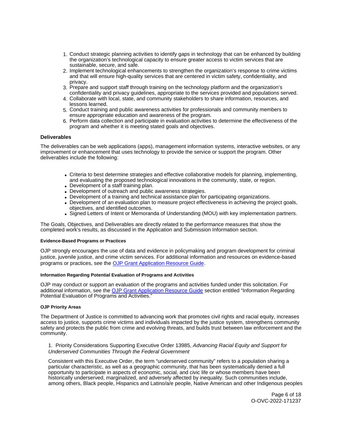- <span id="page-6-0"></span>1. Conduct strategic planning activities to identify gaps in technology that can be enhanced by building the organization's technological capacity to ensure greater access to victim services that are sustainable, secure, and safe.
- 2. Implement technological enhancements to strengthen the organization's response to crime victims and that will ensure high-quality services that are centered in victim safety, confidentiality, and privacy.
- 3. Prepare and support staff through training on the technology platform and the organization's confidentiality and privacy guidelines, appropriate to the services provided and populations served.
- 4. Collaborate with local, state, and community stakeholders to share information, resources, and lessons learned.
- 5. Conduct training and public awareness activities for professionals and community members to ensure appropriate education and awareness of the program.
- 6. Perform data collection and participate in evaluation activities to determine the effectiveness of the program and whether it is meeting stated goals and objectives.

## **Deliverables**

The deliverables can be web applications (apps), management information systems, interactive websites, or any improvement or enhancement that uses technology to provide the service or support the program. Other deliverables include the following:

- Criteria to best determine strategies and effective collaborative models for planning, implementing, and evaluating the proposed technological innovations in the community, state, or region.
- Development of a staff training plan.
- Development of outreach and public awareness strategies.
- Development of a training and technical assistance plan for participating organizations.
- Development of an evaluation plan to measure project effectiveness in achieving the project goals, objectives, and identified outcomes.
- Signed Letters of Intent or Memoranda of Understanding (MOU) with key implementation partners.

The Goals, Objectives, and Deliverables are directly related to the performance measures that show the completed work's results, as discussed in the Application and Submission Information section.

#### **Evidence-Based Programs or Practices**

OJP strongly encourages the use of data and evidence in policymaking and program development for criminal justice, juvenile justice, and crime victim services. For additional information and resources on evidence-based programs or practices, see the [OJP Grant Application Resource Guide.](https://www.ojp.gov/funding/apply/ojp-grant-application-resource-guide#evidence-based)

#### **Information Regarding Potential Evaluation of Programs and Activities**

OJP may conduct or support an evaluation of the programs and activities funded under this solicitation. For additional information, see the [OJP Grant Application Resource Guide](https://www.ojp.gov/funding/apply/ojp-grant-application-resource-guide#potential-evaluation) section entitled "Information Regarding Potential Evaluation of Programs and Activities."

#### **OJP Priority Areas**

The Department of Justice is committed to advancing work that promotes civil rights and racial equity, increases access to justice, supports crime victims and individuals impacted by the justice system, strengthens community safety and protects the public from crime and evolving threats, and builds trust between law enforcement and the community.

1. Priority Considerations Supporting Executive Order 13985, Advancing Racial Equity and Support for Underserved Communities Through the Federal Government

Consistent with this Executive Order, the term "underserved community" refers to a population sharing a particular characteristic, as well as a geographic community, that has been systematically denied a full opportunity to participate in aspects of economic, social, and civic life or whose members have been historically underserved, marginalized, and adversely affected by inequality. Such communities include, among others, Black people, Hispanics and Latino/a/e people, Native American and other Indigenous peoples

> Page 6 of 18 O-OVC-2022-171237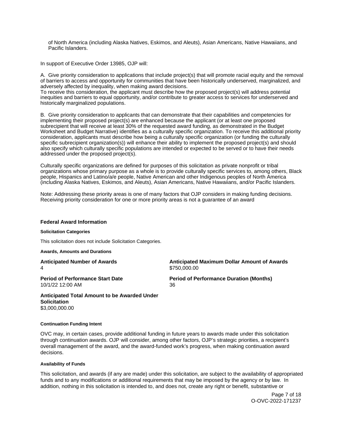<span id="page-7-0"></span>of North America (including Alaska Natives, Eskimos, and Aleuts), Asian Americans, Native Hawaiians, and Pacific Islanders.

In support of Executive Order 13985, OJP will:

A. Give priority consideration to applications that include project(s) that will promote racial equity and the removal of barriers to access and opportunity for communities that have been historically underserved, marginalized, and adversely affected by inequality, when making award decisions.

To receive this consideration, the applicant must describe how the proposed project(s) will address potential inequities and barriers to equal opportunity, and/or contribute to greater access to services for underserved and historically marginalized populations.

B. Give priority consideration to applicants that can demonstrate that their capabilities and competencies for implementing their proposed project(s) are enhanced because the applicant (or at least one proposed subrecipient that will receive at least 30% of the requested award funding, as demonstrated in the Budget Worksheet and Budget Narrative) identifies as a culturally specific organization. To receive this additional priority consideration, applicants must describe how being a culturally specific organization (or funding the culturally specific subrecipient organization(s)) will enhance their ability to implement the proposed project(s) and should also specify which culturally specific populations are intended or expected to be served or to have their needs addressed under the proposed project(s).

Culturally specific organizations are defined for purposes of this solicitation as private nonprofit or tribal organizations whose primary purpose as a whole is to provide culturally specific services to, among others, Black people, Hispanics and Latino/a/e people, Native American and other Indigenous peoples of North America (including Alaska Natives, Eskimos, and Aleuts), Asian Americans, Native Hawaiians, and/or Pacific Islanders.

Note: Addressing these priority areas is one of many factors that OJP considers in making funding decisions. Receiving priority consideration for one or more priority areas is not a guarantee of an award

#### **Federal Award Information**

#### **Solicitation Categories**

This solicitation does not include Solicitation Categories.

**Awards, Amounts and Durations** 

4 \$750,000.00

**Anticipated Number of Awards Anticipated Maximum Dollar Amount of Awards** 

10/1/22 12:00 AM 36

**Period of Performance Start Date Mate Review Period of Performance Duration (Months)** 

**Anticipated Total Amount to be Awarded Under Solicitation**  [\\$3,000,000.00](https://3,000,000.00) 

#### **Continuation Funding Intent**

OVC may, in certain cases, provide additional funding in future years to awards made under this solicitation through continuation awards. OJP will consider, among other factors, OJP's strategic priorities, a recipient's overall management of the award, and the award-funded work's progress, when making continuation award decisions.

#### **Availability of Funds**

This solicitation, and awards (if any are made) under this solicitation, are subject to the availability of appropriated funds and to any modifications or additional requirements that may be imposed by the agency or by law. In addition, nothing in this solicitation is intended to, and does not, create any right or benefit, substantive or

> Page 7 of 18 O-OVC-2022-171237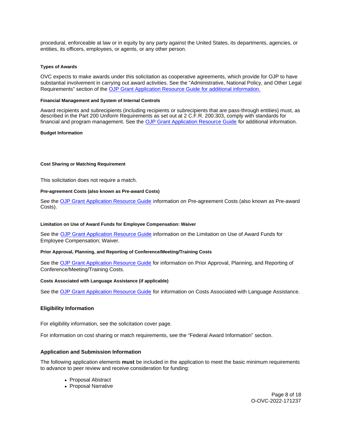<span id="page-8-0"></span>procedural, enforceable at law or in equity by any party against the United States, its departments, agencies, or entities, its officers, employees, or agents, or any other person.

#### **Types of Awards**

OVC expects to make awards under this solicitation as cooperative agreements, which provide for OJP to have substantial involvement in carrying out award activities. See the "Administrative, National Policy, and Other Legal Requirements" section of the [OJP Grant Application Resource Guide](https://ojp.gov/funding/Apply/Resources/Grant-App-Resource-Guide.htm) for additional information.

#### **Financial Management and System of Internal Controls**

Award recipients and subrecipients (including recipients or subrecipients that are pass-through entities) must, as described in the Part 200 Uniform Requirements as set out at 2 C.F.R. 200.303, comply with standards for financial and program management. See the [OJP Grant Application Resource Guide](https://www.ojp.gov/funding/apply/ojp-grant-application-resource-guide#fm-internal-controls) for additional information.

#### **Budget Information**

## **Cost Sharing or Matching Requirement**

This solicitation does not require a match.

#### **Pre-agreement Costs (also known as Pre-award Costs)**

See the [OJP Grant Application Resource Guide](https://www.ojp.gov/funding/apply/ojp-grant-application-resource-guide#pre-agreement-costs) information on Pre-agreement Costs (also known as Pre-award Costs).

#### **Limitation on Use of Award Funds for Employee Compensation: Waiver**

See the [OJP Grant Application Resource Guide](https://www.ojp.gov/funding/apply/ojp-grant-application-resource-guide#limitation-use-award) information on the Limitation on Use of Award Funds for Employee Compensation; Waiver.

#### **Prior Approval, Planning, and Reporting of Conference/Meeting/Training Costs**

See the [OJP Grant Application Resource Guide](https://www.ojp.gov/funding/apply/ojp-grant-application-resource-guide#prior-approval) for information on Prior Approval, Planning, and Reporting of Conference/Meeting/Training Costs.

#### **Costs Associated with Language Assistance (if applicable)**

See the [OJP Grant Application Resource Guide](https://www.ojp.gov/funding/apply/ojp-grant-application-resource-guide#costs-associated) for information on Costs Associated with Language Assistance.

## **Eligibility Information**

For eligibility information, see the solicitation cover page.

For information on cost sharing or match requirements, see the "Federal Award Information" section.

## **Application and Submission Information**

The following application elements **must** be included in the application to meet the basic minimum requirements to advance to peer review and receive consideration for funding:

- Proposal Abstract
- Proposal Narrative

Page 8 of 18 O-OVC-2022-171237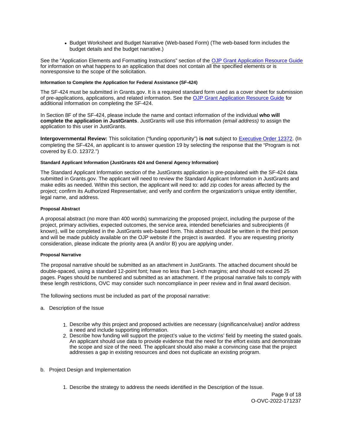Budget Worksheet and Budget Narrative (Web-based Form) (The web-based form includes the budget details and the budget narrative.)

<span id="page-9-0"></span>See the "Application Elements and Formatting Instructions" section of the [OJP Grant Application Resource Guide](https://www.ojp.gov/funding/apply/ojp-grant-application-resource-guide#application-elements)  for information on what happens to an application that does not contain all the specified elements or is nonresponsive to the scope of the solicitation.

## **Information to Complete the Application for Federal Assistance (SF-424)**

The SF-424 must be submitted in [Grants.gov](https://Grants.gov). It is a required standard form used as a cover sheet for submission of pre-applications, applications, and related information. See the [OJP Grant Application Resource Guide](https://www.ojp.gov/funding/Apply/Resources/Grant-App-Resource-Guide.htm) for additional information on completing the SF-424.

In Section 8F of the SF-424, please include the name and contact information of the individual **who will complete the application in JustGrants**. JustGrants will use this information (email address) to assign the application to this user in JustGrants.

**Intergovernmental Review:** This solicitation ("funding opportunity") **is not** subject to [Executive Order 12372.](https://www.archives.gov/federal-register/codification/executive-order/12372.html) (In completing the SF-424, an applicant is to answer question 19 by selecting the response that the "Program is not covered by E.O. 12372.")

## **Standard Applicant Information (JustGrants 424 and General Agency Information)**

The Standard Applicant Information section of the JustGrants application is pre-populated with the SF-424 data submitted in [Grants.gov.](https://Grants.gov) The applicant will need to review the Standard Applicant Information in JustGrants and make edits as needed. Within this section, the applicant will need to: add zip codes for areas affected by the project; confirm its Authorized Representative; and verify and confirm the organization's unique entity identifier, legal name, and address.

## **Proposal Abstract**

A proposal abstract (no more than 400 words) summarizing the proposed project, including the purpose of the project, primary activities, expected outcomes, the service area, intended beneficiaries and subrecipients (if known), will be completed in the JustGrants web-based form. This abstract should be written in the third person and will be made publicly available on the OJP website if the project is awarded. If you are requesting priority consideration, please indicate the priority area (A and/or B) you are applying under.

## **Proposal Narrative**

The proposal narrative should be submitted as an attachment in JustGrants. The attached document should be double-spaced, using a standard 12-point font; have no less than 1-inch margins; and should not exceed 25 pages. Pages should be numbered and submitted as an attachment. If the proposal narrative fails to comply with these length restrictions, OVC may consider such noncompliance in peer review and in final award decision.

The following sections must be included as part of the proposal narrative:

- a. Description of the Issue
	- 1. Describe why this project and proposed activities are necessary (significance/value) and/or address a need and include supporting information.
	- 2. Describe how funding will support the project's value to the victims' field by meeting the stated goals. An applicant should use data to provide evidence that the need for the effort exists and demonstrate the scope and size of the need. The applicant should also make a convincing case that the project addresses a gap in existing resources and does not duplicate an existing program.
- b. Project Design and Implementation
	- 1. Describe the strategy to address the needs identified in the Description of the Issue.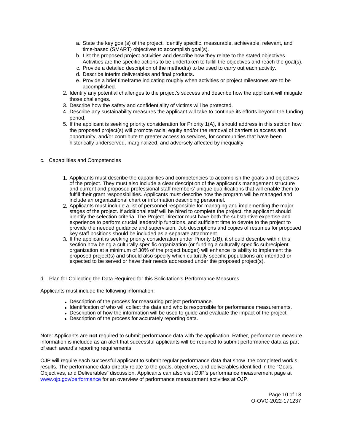- a. State the key goal(s) of the project. Identify specific, measurable, achievable, relevant, and time-based (SMART) objectives to accomplish goal(s).
- b. List the proposed project activities and describe how they relate to the stated objectives. Activities are the specific actions to be undertaken to fulfill the objectives and reach the goal(s).
- c. Provide a detailed description of the method(s) to be used to carry out each activity.
- d. Describe interim deliverables and final products.
- e. Provide a brief timeframe indicating roughly when activities or project milestones are to be accomplished.
- 2. Identify any potential challenges to the project's success and describe how the applicant will mitigate those challenges.
- 3. Describe how the safety and confidentiality of victims will be protected.
- 4. Describe any sustainability measures the applicant will take to continue its efforts beyond the funding period.
- 5. If the applicant is seeking priority consideration for Priority 1(A), it should address in this section how the proposed project(s) will promote racial equity and/or the removal of barriers to access and opportunity, and/or contribute to greater access to services, for communities that have been historically underserved, marginalized, and adversely affected by inequality.
- c. Capabilities and Competencies
	- 1. Applicants must describe the capabilities and competencies to accomplish the goals and objectives of the project. They must also include a clear description of the applicant's management structure and current and proposed professional staff members' unique qualifications that will enable them to fulfill their grant responsibilities. Applicants must describe how the program will be managed and include an organizational chart or information describing personnel.
	- 2. Applicants must include a list of personnel responsible for managing and implementing the major stages of the project. If additional staff will be hired to complete the project, the applicant should identify the selection criteria. The Project Director must have both the substantive expertise and experience to perform crucial leadership functions, and sufficient time to devote to the project to provide the needed guidance and supervision. Job descriptions and copies of resumes for proposed key staff positions should be included as a separate attachment.
	- 3. If the applicant is seeking priority consideration under Priority 1(B), it should describe within this section how being a culturally specific organization (or funding a culturally specific subrecipient organization at a minimum of 30% of the project budget) will enhance its ability to implement the proposed project(s) and should also specify which culturally specific populations are intended or expected to be served or have their needs addressed under the proposed project(s).
- d. Plan for Collecting the Data Required for this Solicitation's Performance Measures

Applicants must include the following information:

- Description of the process for measuring project performance.
- Identification of who will collect the data and who is responsible for performance measurements.
- Description of how the information will be used to guide and evaluate the impact of the project.
- Description of the process for accurately reporting data.

Note: Applicants are **not** required to submit performance data with the application. Rather, performance measure information is included as an alert that successful applicants will be required to submit performance data as part of each award's reporting requirements.

OJP will require each successful applicant to submit regular performance data that show the completed work's results. The performance data directly relate to the goals, objectives, and deliverables identified in the "Goals, Objectives, and Deliverables" discussion. Applicants can also visit OJP's performance measurement page at [www.ojp.gov/performance](https://www.ojp.gov/performance) for an overview of performance measurement activities at OJP.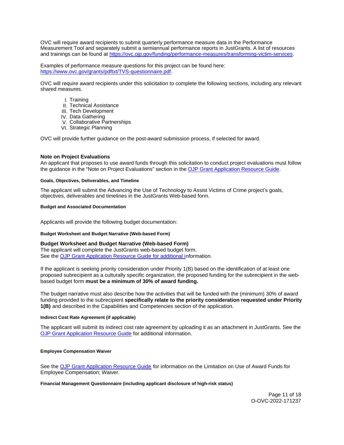<span id="page-11-0"></span>OVC will require award recipients to submit quarterly performance measure data in the Performance Measurement Tool and separately submit a semiannual performance reports in JustGrants. A list of resources and trainings can be found at [https://ovc.ojp.gov/funding/performance-measures/transforming-victim-services.](https://ovc.ojp.gov/funding/performance-measures/transforming-victim-services)

Examples of performance measure questions for this project can be found here: [https://www.ovc.gov/grants/pdftxt/TVS-questionnaire.pdf.](https://www.ovc.gov/grants/pdftxt/TVS-questionnaire.pdf)

OVC will require award recipients under this solicitation to complete the following sections, including any relevant shared measures.

- I. Training
- II. Technical Assistance
- III. Tech Development
- IV. Data Gathering
- V. Collaborative Partnerships
- VI. Strategic Planning

OVC will provide further guidance on the post-award submission process, if selected for award.

## **Note on Project Evaluations**

An applicant that proposes to use award funds through this solicitation to conduct project evaluations must follow the guidance in the "Note on Project Evaluations" section in the [OJP Grant Application Resource Guide.](https://www.ojp.gov/funding/Apply/Resources/Grant-App-Resource-Guide.htm)

#### **Goals, Objectives, Deliverables, and Timeline**

The applicant will submit the Advancing the Use of Technology to Assist Victims of Crime project's goals, objectives, deliverables and timelines in the JustGrants Web-based form.

## **Budget and Associated Documentation**

Applicants will provide the following budget documentation:

## **Budget Worksheet and Budget Narrative (Web-based Form)**

## **Budget Worksheet and Budget Narrative (Web-based Form)**

The applicant will complete the JustGrants web-based budget form. See the [OJP Grant Application Resource Guide](https://ojp.gov/funding/Apply/Resources/Grant-App-Resource-Guide.htm) for additional information.

If the applicant is seeking priority consideration under Priority 1(B) based on the identification of at least one proposed subrecipient as a culturally specific organization, the proposed funding for the subrecipient in the webbased budget form **must be a minimum of 30% of award funding.** 

The budget narrative must also describe how the activities that will be funded with the (minimum) 30% of award funding provided to the subrecipient **specifically relate to the priority consideration requested under Priority 1(B)** and described in the Capabilities and Competencies section of the application.

#### **Indirect Cost Rate Agreement (if applicable)**

The applicant will submit its indirect cost rate agreement by uploading it as an attachment in JustGrants. See the [OJP Grant Application Resource Guide](https://www.ojp.gov/funding/apply/ojp-grant-application-resource-guide#indirect-cost) for additional information.

#### **Employee Compensation Waiver**

See the [OJP Grant Application Resource Guide](https://www.ojp.gov/funding/apply/ojp-grant-application-resource-guide#limitation-use-award) for information on the Limitation on Use of Award Funds for Employee Compensation; Waiver.

## **Financial Management Questionnaire (including applicant disclosure of high-risk status)**

Page 11 of 18 O-OVC-2022-171237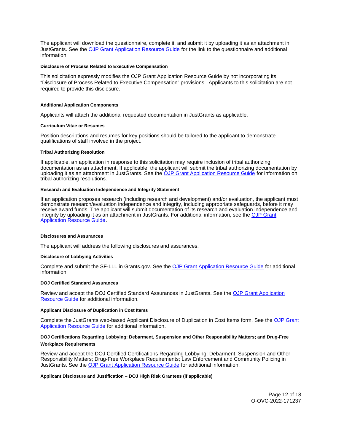<span id="page-12-0"></span>The applicant will download the questionnaire, complete it, and submit it by uploading it as an attachment in JustGrants. See the [OJP Grant Application Resource Guide](https://www.ojp.gov/funding/apply/ojp-grant-application-resource-guide#fm-internal-controls-questionnaire) for the link to the questionnaire and additional information.

#### **Disclosure of Process Related to Executive Compensation**

This solicitation expressly modifies the OJP Grant Application Resource Guide by not incorporating its "Disclosure of Process Related to Executive Compensation" provisions. Applicants to this solicitation are not required to provide this disclosure.

#### **Additional Application Components**

Applicants will attach the additional requested documentation in JustGrants as applicable.

#### **Curriculum Vitae or Resumes**

Position descriptions and resumes for key positions should be tailored to the applicant to demonstrate qualifications of staff involved in the project.

#### **Tribal Authorizing Resolution**

If applicable, an application in response to this solicitation may require inclusion of tribal authorizing documentation as an attachment. If applicable, the applicant will submit the tribal authorizing documentation by uploading it as an attachment in JustGrants. See the [OJP Grant Application Resource Guide](https://www.ojp.gov/funding/apply/ojp-grant-application-resource-guide#tribal-authorizing-resolution) for information on tribal authorizing resolutions.

#### **Research and Evaluation Independence and Integrity Statement**

If an application proposes research (including research and development) and/or evaluation, the applicant must demonstrate research/evaluation independence and integrity, including appropriate safeguards, before it may receive award funds. The applicant will submit documentation of its research and evaluation independence and integrity by uploading it as an attachment in JustGrants. For additional information, see the [OJP Grant](https://www.ojp.gov/funding/apply/ojp-grant-application-resource-guide#research-evaluation)  [Application Resource Guide.](https://www.ojp.gov/funding/apply/ojp-grant-application-resource-guide#research-evaluation)

#### **Disclosures and Assurances**

The applicant will address the following disclosures and assurances.

#### **Disclosure of Lobbying Activities**

Complete and submit the SF-LLL in [Grants.gov.](https://Grants.gov) See the [OJP Grant Application Resource Guide](https://www.ojp.gov/funding/apply/ojp-grant-application-resource-guide#disclosure-lobby) for additional information.

#### **DOJ Certified Standard Assurances**

Review and accept the DOJ Certified Standard Assurances in JustGrants. See the [OJP Grant Application](https://www.ojp.gov/funding/apply/ojp-grant-application-resource-guide#administrative)  [Resource Guide](https://www.ojp.gov/funding/apply/ojp-grant-application-resource-guide#administrative) for additional information.

#### **Applicant Disclosure of Duplication in Cost Items**

Complete the JustGrants web-based Applicant Disclosure of Duplication in Cost Items form. See the [OJP Grant](https://www.ojp.gov/funding/apply/ojp-grant-application-resource-guide#applicant-disclosure-pending-applications)  [Application Resource Guide](https://www.ojp.gov/funding/apply/ojp-grant-application-resource-guide#applicant-disclosure-pending-applications) for additional information.

## **DOJ Certifications Regarding Lobbying; Debarment, Suspension and Other Responsibility Matters; and Drug-Free Workplace Requirements**

Review and accept the DOJ Certified Certifications Regarding Lobbying; Debarment, Suspension and Other Responsibility Matters; Drug-Free Workplace Requirements; Law Enforcement and Community Policing in JustGrants. See the [OJP Grant Application Resource Guide](https://www.ojp.gov/funding/apply/ojp-grant-application-resource-guide#administrative) for additional information.

#### **Applicant Disclosure and Justification – DOJ High Risk Grantees (if applicable)**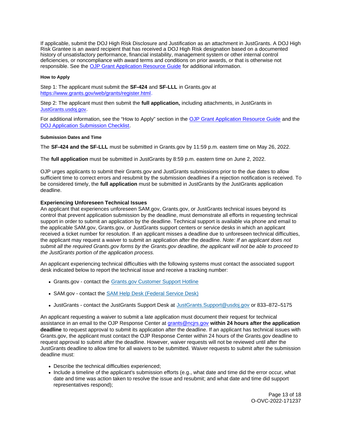<span id="page-13-0"></span>If applicable, submit the DOJ High Risk Disclosure and Justification as an attachment in JustGrants. A DOJ High Risk Grantee is an award recipient that has received a DOJ High Risk designation based on a documented history of unsatisfactory performance, financial instability, management system or other internal control deficiencies, or noncompliance with award terms and conditions on prior awards, or that is otherwise not responsible. See the [OJP Grant Application Resource Guide](https://www.ojp.gov/funding/apply/ojp-grant-application-resource-guide) for additional information.

## **How to Apply**

Step 1: The applicant must submit the **SF-424** and **SF-LLL** in [Grants.gov](https://Grants.gov) at [https://www.grants.gov/web/grants/register.html.](https://www.grants.gov/web/grants/register.html)

Step 2: The applicant must then submit the **full application,** including attachments, in JustGrants in [JustGrants.usdoj.gov.](https://justicegrants.usdoj.gov/)

For additional information, see the "How to Apply" section in the [OJP Grant Application Resource Guide](https://www.ojp.gov/funding/apply/ojp-grant-application-resource-guide#apply) and the [DOJ Application Submission Checklist.](https://justicegrants.usdoj.gov/sites/g/files/xyckuh296/files/media/document/appln-submission-checklist.pdf)

## **Submission Dates and Time**

The **SF-424 and the SF-LLL** must be submitted in [Grants.gov](https://Grants.gov) by 11:59 p.m. eastern time on May 26, 2022.

The **full application** must be submitted in JustGrants by 8:59 p.m. eastern time on June 2, 2022.

OJP urges applicants to submit their [Grants.gov](https://Grants.gov) and JustGrants submissions prior to the due dates to allow sufficient time to correct errors and resubmit by the submission deadlines if a rejection notification is received. To be considered timely, the **full application** must be submitted in JustGrants by the JustGrants application deadline.

## **Experiencing Unforeseen Technical Issues**

An applicant that experiences unforeseen SAM.gov, [Grants.gov,](https://Grants.gov) or JustGrants technical issues beyond its control that prevent application submission by the deadline, must demonstrate all efforts in requesting technical support in order to submit an application by the deadline. Technical support is available via phone and email to the applicable SAM.gov, [Grants.gov,](https://Grants.gov) or JustGrants support centers or service desks in which an applicant received a ticket number for resolution. If an applicant misses a deadline due to unforeseen technical difficulties, the applicant may request a waiver to submit an application after the deadline. Note: If an applicant does not submit all the required [Grants.gov](https://Grants.gov) forms by the [Grants.gov](https://Grants.gov) deadline, the applicant will not be able to proceed to the JustGrants portion of the application process.

An applicant experiencing technical difficulties with the following systems must contact the associated support desk indicated below to report the technical issue and receive a tracking number:

- [Grants.gov](https://Grants.gov)  contact the [Grants.gov Customer Support Hotline](https://www.grants.gov/web/grants/support.html)
- SAM.gov contact the [SAM Help Desk \(Federal Service Desk\)](https://www.fsd.gov/gsafsd_sp)
- JustGrants contact the JustGrants Support Desk at [JustGrants.Support@usdoj.gov](mailto:JustGrants.Support@usdoj.gov) or 833–872–5175

An applicant requesting a waiver to submit a late application must document their request for technical assistance in an email to the OJP Response Center at [grants@ncjrs.gov](file:///C:/Users/local_Yehj/INetCache/Content.Outlook/20U4XBR7/grants@ncjrs.gov) **within 24 hours after the application deadline** to request approval to submit its application after the deadline. If an applicant has technical issues with [Grants.gov,](https://Grants.gov) the applicant must contact the OJP Response Center within 24 hours of the [Grants.gov](https://Grants.gov) deadline to request approval to submit after the deadline. However, waiver requests will not be reviewed until after the JustGrants deadline to allow time for all waivers to be submitted. Waiver requests to submit after the submission deadline must:

- Describe the technical difficulties experienced;
- Include a timeline of the applicant's submission efforts (e.g., what date and time did the error occur, what date and time was action taken to resolve the issue and resubmit; and what date and time did support representatives respond);

Page 13 of 18 O-OVC-2022-171237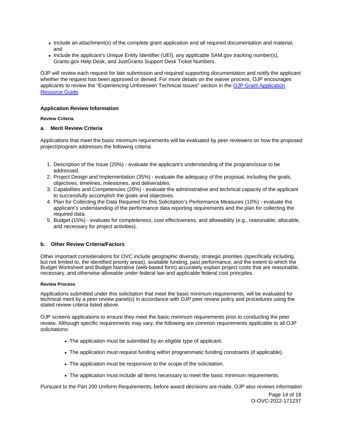- <span id="page-14-0"></span>• Include an attachment(s) of the complete grant application and all required documentation and material; and
- Include the applicant's Unique Entity Identifier (UEI), any applicable SAM.gov tracking number(s), [Grants.gov](https://Grants.gov) Help Desk, and JustGrants Support Desk Ticket Numbers.

OJP will review each request for late submission and required supporting documentation and notify the applicant whether the request has been approved or denied. For more details on the waiver process, OJP encourages applicants to review the "Experiencing Unforeseen Technical Issues" section in the [OJP Grant Application](https://www.ojp.gov/funding/apply/ojp-grant-application-resource-guide#experiencing-unforeseen-technical-issues)  [Resource Guide](https://www.ojp.gov/funding/apply/ojp-grant-application-resource-guide#experiencing-unforeseen-technical-issues).

## **Application Review Information**

## **Review Criteria**

## **a. Merit Review Criteria**

Applications that meet the basic minimum requirements will be evaluated by peer reviewers on how the proposed project/program addresses the following criteria:

- 1. Description of the Issue (20%) evaluate the applicant's understanding of the program/issue to be addressed.
- 2. Project Design and Implementation (35%) evaluate the adequacy of the proposal, including the goals, objectives, timelines, milestones, and deliverables.
- 3. Capabilities and Competencies (20%) evaluate the administrative and technical capacity of the applicant to successfully accomplish the goals and objectives.
- 4. Plan for Collecting the Data Required for this Solicitation's Performance Measures (10%) evaluate the applicant's understanding of the performance data reporting requirements and the plan for collecting the required data.
- 5. Budget (15%) evaluate for completeness, cost effectiveness, and allowability (e.g., reasonable, allocable, and necessary for project activities).

## **b. Other Review Criteria/Factors**

Other important considerations for OVC include geographic diversity, strategic priorities (specifically including, but not limited to, the identified priority areas), available funding, past performance, and the extent to which the Budget Worksheet and Budget Narrative (web-based form) accurately explain project costs that are reasonable, necessary, and otherwise allowable under federal law and applicable federal cost principles.

## **Review Process**

Applications submitted under this solicitation that meet the basic minimum requirements, will be evaluated for technical merit by a peer review panel(s) in accordance with OJP peer review policy and procedures using the stated review criteria listed above.

OJP screens applications to ensure they meet the basic minimum requirements prior to conducting the peer review. Although specific requirements may vary, the following are common requirements applicable to all OJP solicitations:

- The application must be submitted by an eligible type of applicant.
- The application must request funding within programmatic funding constraints (if applicable).
- The application must be responsive to the scope of the solicitation.
- The application must include all items necessary to meet the basic minimum requirements.

Pursuant to the Part 200 Uniform Requirements, before award decisions are made, OJP also reviews information

Page 14 of 18 O-OVC-2022-171237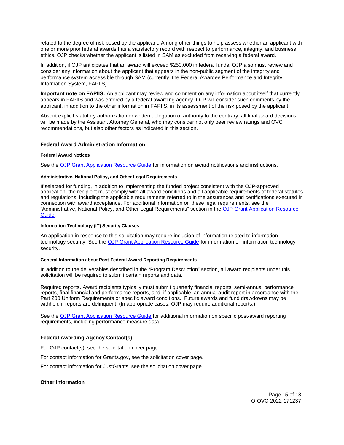<span id="page-15-0"></span>related to the degree of risk posed by the applicant. Among other things to help assess whether an applicant with one or more prior federal awards has a satisfactory record with respect to performance, integrity, and business ethics, OJP checks whether the applicant is listed in SAM as excluded from receiving a federal award.

In addition, if OJP anticipates that an award will exceed \$250,000 in federal funds, OJP also must review and consider any information about the applicant that appears in the non-public segment of the integrity and performance system accessible through SAM (currently, the Federal Awardee Performance and Integrity Information System, FAPIIS).

**Important note on FAPIIS:** An applicant may review and comment on any information about itself that currently appears in FAPIIS and was entered by a federal awarding agency. OJP will consider such comments by the applicant, in addition to the other information in FAPIIS, in its assessment of the risk posed by the applicant.

Absent explicit statutory authorization or written delegation of authority to the contrary, all final award decisions will be made by the Assistant Attorney General, who may consider not only peer review ratings and OVC recommendations, but also other factors as indicated in this section.

## **Federal Award Administration Information**

#### **Federal Award Notices**

See the [OJP Grant Application Resource Guide](https://www.ojp.gov/funding/apply/ojp-grant-application-resource-guide#federal-award-notices) for information on award notifications and instructions.

## **Administrative, National Policy, and Other Legal Requirements**

If selected for funding, in addition to implementing the funded project consistent with the OJP-approved application, the recipient must comply with all award conditions and all applicable requirements of federal statutes and regulations, including the applicable requirements referred to in the assurances and certifications executed in connection with award acceptance. For additional information on these legal requirements, see the "Administrative, National Policy, and Other Legal Requirements" section in the [OJP Grant Application Resource](https://www.ojp.gov/funding/apply/ojp-grant-application-resource-guide#administrative)  [Guide.](https://www.ojp.gov/funding/apply/ojp-grant-application-resource-guide#administrative)

#### **Information Technology (IT) Security Clauses**

An application in response to this solicitation may require inclusion of information related to information technology security. See the [OJP Grant Application Resource Guide](https://www.ojp.gov/funding/apply/ojp-grant-application-resource-guide#information-technology) for information on information technology security.

## **General Information about Post-Federal Award Reporting Requirements**

In addition to the deliverables described in the "Program Description" section, all award recipients under this solicitation will be required to submit certain reports and data.

Required reports. Award recipients typically must submit quarterly financial reports, semi-annual performance reports, final financial and performance reports, and, if applicable, an annual audit report in accordance with the Part 200 Uniform Requirements or specific award conditions. Future awards and fund drawdowns may be withheld if reports are delinquent. (In appropriate cases, OJP may require additional reports.)

See the [OJP Grant Application Resource Guide](https://www.ojp.gov/funding/Apply/Resources/Grant-App-Resource-Guide.htm) for additional information on specific post-award reporting requirements, including performance measure data.

## **Federal Awarding Agency Contact(s)**

For OJP contact(s), see the solicitation cover page.

For contact information for [Grants.gov](https://Grants.gov), see the solicitation cover page.

For contact information for JustGrants, see the solicitation cover page.

#### **Other Information**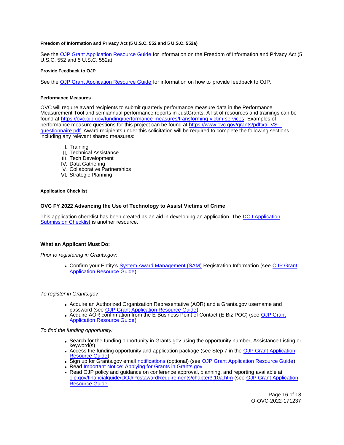## <span id="page-16-0"></span>**Freedom of Information and Privacy Act (5 U.S.C. 552 and 5 U.S.C. 552a)**

See the [OJP Grant Application Resource Guide](https://www.ojp.gov/funding/apply/ojp-grant-application-resource-guide#foia) for information on the Freedom of Information and Privacy Act (5 U.S.C. 552 and 5 U.S.C. 552a).

#### **Provide Feedback to OJP**

See the [OJP Grant Application Resource Guide](https://www.ojp.gov/funding/apply/ojp-grant-application-resource-guide#feedback) for information on how to provide feedback to OJP.

#### **Performance Measures**

OVC will require award recipients to submit quarterly performance measure data in the Performance Measurement Tool and semiannual performance reports in JustGrants. A list of resources and trainings can be found at https://ovc.oip.gov/funding/performance-measures/transforming-victim-services. Examples of performance measure questions for this project can be found at [https://www.ovc.gov/grants/pdftxt/TVS](https://www.ovc.gov/grants/pdftxt/TVS-questionnaire.pdf)[questionnaire.pdf.](https://www.ovc.gov/grants/pdftxt/TVS-questionnaire.pdf) Award recipients under this solicitation will be required to complete the following sections, including any relevant shared measures:

- I. Training
- II. Technical Assistance
- III. Tech Development
- IV. Data Gathering
- V. Collaborative Partnerships
- VI. Strategic Planning

#### **Application Checklist**

## **OVC FY 2022 Advancing the Use of Technology to Assist Victims of Crime**

This application checklist has been created as an aid in developing an application. The [DOJ Application](https://justicegrants.usdoj.gov/sites/g/files/xyckuh296/files/media/document/appln-submission-checklist.pdf)  [Submission Checklist](https://justicegrants.usdoj.gov/sites/g/files/xyckuh296/files/media/document/appln-submission-checklist.pdf) is another resource.

## **What an Applicant Must Do:**

Prior to registering in [Grants.gov](https://Grants.gov):

Confirm your Entity's [System Award Management \(SAM\)](https://sam.gov/SAM/) Registration Information (see [OJP Grant](https://www.ojp.gov/funding/apply/ojp-grant-application-resource-guide#apply)  [Application Resource Guide\)](https://www.ojp.gov/funding/apply/ojp-grant-application-resource-guide#apply)

To register in [Grants.gov](https://Grants.gov):

- Acquire an Authorized Organization Representative (AOR) and a [Grants.gov](https://Grants.gov) username and password (see [OJP Grant Application Resource Guide\)](https://www.ojp.gov/funding/apply/ojp-grant-application-resource-guide#apply)
- Acquire AOR confirmation from the E-Business Point of Contact (E-Biz POC) (see OJP Grant [Application Resource Guide\)](https://www.ojp.gov/funding/apply/ojp-grant-application-resource-guide#apply)

To find the funding opportunity:

- Search for the funding opportunity in [Grants.gov](https://Grants.gov) using the opportunity number, Assistance Listing or keyword(s)
- Access the funding opportunity and application package (see Step 7 in the [OJP Grant Application](https://www.ojp.gov/funding/apply/ojp-grant-application-resource-guide#apply)  [Resource Guide\)](https://www.ojp.gov/funding/apply/ojp-grant-application-resource-guide#apply)
- . Sign up for [Grants.gov](https://Grants.gov) email [notifications](https://www.grants.gov/web/grants/manage-subscriptions.html) (optional) (see [OJP Grant Application Resource Guide\)](https://www.ojp.gov/funding/apply/ojp-grant-application-resource-guide#apply)
- Read Important Notice: Applying for Grants in Grants.gov
- Read OJP policy and guidance on conference approval, planning, and reporting available at [ojp.gov/financialguide/DOJ/PostawardRequirements/chapter3.10a.htm](https://ojp.gov/financialguide/DOJ/PostawardRequirements/chapter3.10a.htm) (see [OJP Grant Application](https://www.ojp.gov/funding/apply/ojp-grant-application-resource-guide#prior-approval)  [Resource Guide](https://www.ojp.gov/funding/apply/ojp-grant-application-resource-guide#prior-approval)

Page 16 of 18 O-OVC-2022-171237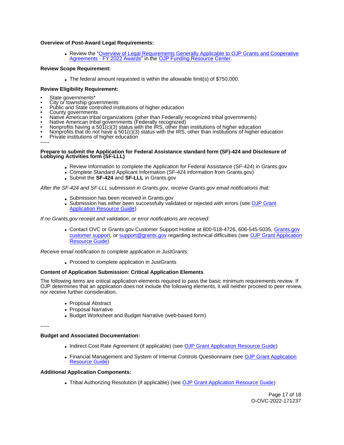## **Overview of Post-Award Legal Requirements:**

Review the "[Overview of Legal Requirements Generally Applicable to OJP Grants and Cooperative](https://www.ojp.gov/funding/explore/legal-overview-awards)  [Agreements - FY 2022 Awards"](https://www.ojp.gov/funding/explore/legal-overview-awards) in the [OJP Funding Resource Center.](https://www.ojp.gov/funding/explore/legal-overview-awards)

## **Review Scope Requirement:**

The federal amount requested is within the allowable limit(s) of \$750,000.

## **Review Eligibility Requirement:**

- 
- 
- State governments\*<br>
City or township governments<br>
Public and State controlled institutions of higher education<br>
County governments
- 
- Native American tribal organizations (other than Federally recognized tribal governments)
- 
- 
- Native American tribal governments (Federally recognized)<br>Nonprofits having a 501(c)(3) status with the IRS, other than institutions of higher education<br>Nonprofits that do not have a 501(c)(3) status with the IRS, other th
- Private institutions of higher education

~~~

#### **Prepare to submit the Application for Federal Assistance standard form (SF)-424 and Disclosure of Lobbying Activities form (SF-LLL)**

- Review Information to complete the Application for Federal Assistance (SF-424) in [Grants.gov](https://Grants.gov)
- Complete Standard Applicant Information (SF-424 information from [Grants.gov\)](https://Grants.gov)
- Submit the **SF-424** and **SF-LLL** in [Grants.gov](https://Grants.gov)

After the SF-424 and SF-LLL submission in [Grants.gov](https://Grants.gov), receive [Grants.gov](https://Grants.gov) email notifications that:

- Submission has been received in [Grants.gov](https://Grants.gov)
- Submission has either been successfully validated or rejected with errors (see [OJP Grant](https://www.ojp.gov/funding/apply/ojp-grant-application-resource-guide#apply)  [Application Resource Guide\)](https://www.ojp.gov/funding/apply/ojp-grant-application-resource-guide#apply)

If no [Grants.gov](https://Grants.gov) receipt and validation, or error notifications are received:

• Contact OVC or [Grants.gov](https://Grants.gov) Customer Support Hotline at 800-518-4726, 606-545-5035, Grants.gov [customer support,](https://www.grants.gov/web/grants/support.html) or [support@grants.gov](mailto:support@grants.gov) regarding technical difficulties (see [OJP Grant Application](https://www.ojp.gov/funding/apply/ojp-grant-application-resource-guide#apply)  [Resource Guide\)](https://www.ojp.gov/funding/apply/ojp-grant-application-resource-guide#apply)

Receive email notification to complete application in JustGrants:

Proceed to complete application in JustGrants

## **Content of Application Submission: Critical Application Elements**

The following items are critical application elements required to pass the basic minimum requirements review. If OJP determines that an application does not include the following elements, it will neither proceed to peer review, nor receive further consideration.

- Proposal Abstract
- Proposal Narrative
- Budget Worksheet and Budget Narrative (web-based form)

~~~

#### **Budget and Associated Documentation:**

- Indirect Cost Rate Agreement (if applicable) (see [OJP Grant Application Resource Guide\)](https://www.ojp.gov/funding/apply/ojp-grant-application-resource-guide#indirect-cost)
- Financial Management and System of Internal Controls Questionnaire (see OJP Grant Application [Resource Guide\)](https://www.ojp.gov/funding/apply/ojp-grant-application-resource-guide#fm-internal-controls-questionnaire)

#### **Additional Application Components:**

Tribal Authorizing Resolution (if applicable) (see [OJP Grant Application Resource Guide\)](https://www.ojp.gov/funding/apply/ojp-grant-application-resource-guide#tribal-authorizing-resolution)